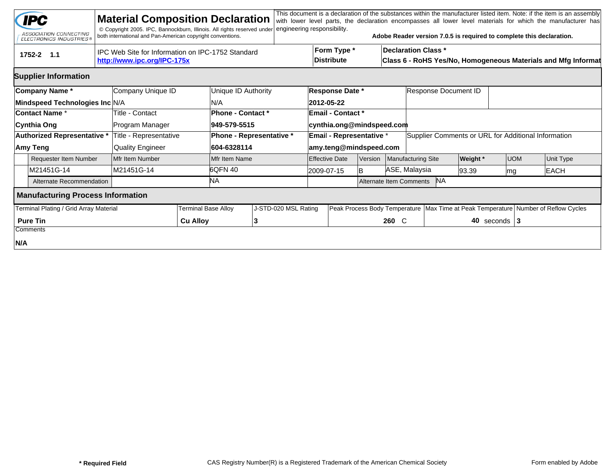|                                                                                                | <b>IPC</b><br>ASSOCIATION CONNECTING<br><b>ELECTRONICS INDUSTRIES®</b> |  | <b>Material Composition Declaration</b><br>© Copyright 2005. IPC, Bannockburn, Illinois. All rights reserved under<br>both international and Pan-American copyright conventions. |                     |                          | engineering responsibility. |                       |                                                                                                                          |                                      |              | Adobe Reader version 7.0.5 is required to complete this declaration.                   |                  |             |  | This document is a declaration of the substances within the manufacturer listed item. Note: if the item is an assembly<br>with lower level parts, the declaration encompasses all lower level materials for which the manufacturer has |  |
|------------------------------------------------------------------------------------------------|------------------------------------------------------------------------|--|----------------------------------------------------------------------------------------------------------------------------------------------------------------------------------|---------------------|--------------------------|-----------------------------|-----------------------|--------------------------------------------------------------------------------------------------------------------------|--------------------------------------|--------------|----------------------------------------------------------------------------------------|------------------|-------------|--|----------------------------------------------------------------------------------------------------------------------------------------------------------------------------------------------------------------------------------------|--|
| IPC Web Site for Information on IPC-1752 Standard<br>1752-2 1.1<br>http://www.ipc.org/IPC-175x |                                                                        |  |                                                                                                                                                                                  |                     |                          |                             |                       | Form Type *<br><b>Declaration Class *</b><br>Distribute<br>Class 6 - RoHS Yes/No, Homogeneous Materials and Mfg Informat |                                      |              |                                                                                        |                  |             |  |                                                                                                                                                                                                                                        |  |
| <b>Supplier Information</b>                                                                    |                                                                        |  |                                                                                                                                                                                  |                     |                          |                             |                       |                                                                                                                          |                                      |              |                                                                                        |                  |             |  |                                                                                                                                                                                                                                        |  |
| Company Name*                                                                                  |                                                                        |  | Company Unique ID                                                                                                                                                                |                     | Unique ID Authority      |                             |                       | Response Date *                                                                                                          |                                      |              | Response Document ID                                                                   |                  |             |  |                                                                                                                                                                                                                                        |  |
| Mindspeed Technologies Inc N/A                                                                 |                                                                        |  |                                                                                                                                                                                  |                     | N/A                      |                             |                       | 2012-05-22                                                                                                               |                                      |              |                                                                                        |                  |             |  |                                                                                                                                                                                                                                        |  |
| Contact Name *                                                                                 |                                                                        |  | Title - Contact                                                                                                                                                                  |                     | Phone - Contact *        |                             |                       | <b>Email - Contact *</b>                                                                                                 |                                      |              |                                                                                        |                  |             |  |                                                                                                                                                                                                                                        |  |
| Cynthia Ong                                                                                    |                                                                        |  | Program Manager                                                                                                                                                                  |                     | 949-579-5515             |                             |                       | cynthia.ong@mindspeed.com                                                                                                |                                      |              |                                                                                        |                  |             |  |                                                                                                                                                                                                                                        |  |
| Authorized Representative *                                                                    |                                                                        |  | Title - Representative                                                                                                                                                           |                     | Phone - Representative * |                             |                       | Email - Representative *                                                                                                 |                                      |              | Supplier Comments or URL for Additional Information                                    |                  |             |  |                                                                                                                                                                                                                                        |  |
| Amy Teng                                                                                       |                                                                        |  | <b>Quality Engineer</b>                                                                                                                                                          |                     | 604-6328114              |                             |                       | amy.teng@mindspeed.com                                                                                                   |                                      |              |                                                                                        |                  |             |  |                                                                                                                                                                                                                                        |  |
|                                                                                                | <b>Requester Item Number</b>                                           |  | Mfr Item Number                                                                                                                                                                  |                     | Mfr Item Name            |                             | <b>Effective Date</b> |                                                                                                                          | Version                              |              | Manufacturing Site                                                                     | <b>Weight</b> *  | <b>UOM</b>  |  | Unit Type                                                                                                                                                                                                                              |  |
|                                                                                                | M21451G-14                                                             |  | M21451G-14                                                                                                                                                                       | 6QFN 40             |                          | 2009-07-15                  | lB.                   |                                                                                                                          | ASE, Malaysia                        | 93.39        | mg                                                                                     |                  | <b>EACH</b> |  |                                                                                                                                                                                                                                        |  |
| Alternate Recommendation                                                                       |                                                                        |  |                                                                                                                                                                                  | ΝA                  |                          |                             |                       |                                                                                                                          | <b>NA</b><br>Alternate Item Comments |              |                                                                                        |                  |             |  |                                                                                                                                                                                                                                        |  |
| <b>Manufacturing Process Information</b>                                                       |                                                                        |  |                                                                                                                                                                                  |                     |                          |                             |                       |                                                                                                                          |                                      |              |                                                                                        |                  |             |  |                                                                                                                                                                                                                                        |  |
| Terminal Plating / Grid Array Material                                                         |                                                                        |  |                                                                                                                                                                                  | Terminal Base Alloy |                          |                             | J-STD-020 MSL Rating  |                                                                                                                          |                                      |              | Peak Process Body Temperature   Max Time at Peak Temperature   Number of Reflow Cycles |                  |             |  |                                                                                                                                                                                                                                        |  |
| <b>Pure Tin</b>                                                                                |                                                                        |  | <b>Cu Alloy</b>                                                                                                                                                                  |                     |                          |                             |                       |                                                                                                                          |                                      | $260\quad C$ |                                                                                        | 40 seconds $ 3 $ |             |  |                                                                                                                                                                                                                                        |  |
|                                                                                                | Comments                                                               |  |                                                                                                                                                                                  |                     |                          |                             |                       |                                                                                                                          |                                      |              |                                                                                        |                  |             |  |                                                                                                                                                                                                                                        |  |
| N/A                                                                                            |                                                                        |  |                                                                                                                                                                                  |                     |                          |                             |                       |                                                                                                                          |                                      |              |                                                                                        |                  |             |  |                                                                                                                                                                                                                                        |  |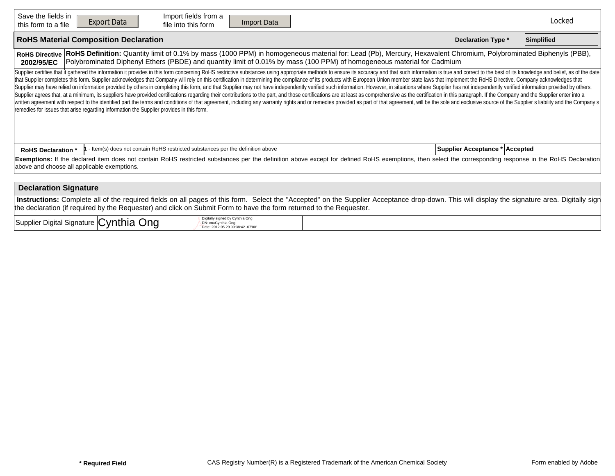| Save the fields in<br>this form to a file                                                                                                                                                                                                                                                                                                                                                                                                                                                                                                                                                                                                                                                                                                                                                                                                                                                                                                                                                                                                                                                                                                                                                                                                                         | Import fields from a<br><b>Export Data</b><br>Import Data<br>file into this form                                                     |  | Locked |  |  |  |  |  |  |  |  |  |
|-------------------------------------------------------------------------------------------------------------------------------------------------------------------------------------------------------------------------------------------------------------------------------------------------------------------------------------------------------------------------------------------------------------------------------------------------------------------------------------------------------------------------------------------------------------------------------------------------------------------------------------------------------------------------------------------------------------------------------------------------------------------------------------------------------------------------------------------------------------------------------------------------------------------------------------------------------------------------------------------------------------------------------------------------------------------------------------------------------------------------------------------------------------------------------------------------------------------------------------------------------------------|--------------------------------------------------------------------------------------------------------------------------------------|--|--------|--|--|--|--|--|--|--|--|--|
| <b>RoHS Material Composition Declaration</b><br><b>Declaration Type *</b>                                                                                                                                                                                                                                                                                                                                                                                                                                                                                                                                                                                                                                                                                                                                                                                                                                                                                                                                                                                                                                                                                                                                                                                         |                                                                                                                                      |  |        |  |  |  |  |  |  |  |  |  |
| RoHS Definition: Quantity limit of 0.1% by mass (1000 PPM) in homogeneous material for: Lead (Pb), Mercury, Hexavalent Chromium, Polybrominated Biphenyls (PBB),<br><b>RoHS Directive</b><br>Polybrominated Diphenyl Ethers (PBDE) and quantity limit of 0.01% by mass (100 PPM) of homogeneous material for Cadmium<br>2002/95/EC                                                                                                                                                                                                                                                                                                                                                                                                                                                                                                                                                                                                                                                                                                                                                                                                                                                                                                                                |                                                                                                                                      |  |        |  |  |  |  |  |  |  |  |  |
| Supplier certifies that it gathered the information it provides in this form concerning RoHS restrictive substances using appropriate methods to ensure its accuracy and that such information is true and correct to the best<br>that Supplier completes this form. Supplier acknowledges that Company will rely on this certification in determining the complance of its products with European Union member state laws that implement the RoHS Directive. Co<br>Supplier may have relied on information provided by others in completing this form, and that Supplier may not have independently verified such information. However, in situations where Supplier has not independently verifi<br>Supplier agrees that, at a minimum, its suppliers have provided certifications regarding their contributions to the part, and those certifications are at least as comprehensive as the certification in this paragraph. If th<br>written agreement with respect to the identified part, the terms and conditions of that agreement, including any warranty rights and or remedies provided as part of that agreement, will be the sole and exclusive source of<br>remedies for issues that arise regarding information the Supplier provides in this form. |                                                                                                                                      |  |        |  |  |  |  |  |  |  |  |  |
| <b>RoHS Declaration *</b>                                                                                                                                                                                                                                                                                                                                                                                                                                                                                                                                                                                                                                                                                                                                                                                                                                                                                                                                                                                                                                                                                                                                                                                                                                         | Supplier Acceptance * Accepted<br>- Item(s) does not contain RoHS restricted substances per the definition above                     |  |        |  |  |  |  |  |  |  |  |  |
| Exemptions: If the declared item does not contain RoHS restricted substances per the definition above except for defined RoHS exemptions, then select the corresponding response in the RoHS Declaration<br>above and choose all applicable exemptions.                                                                                                                                                                                                                                                                                                                                                                                                                                                                                                                                                                                                                                                                                                                                                                                                                                                                                                                                                                                                           |                                                                                                                                      |  |        |  |  |  |  |  |  |  |  |  |
| <b>Declaration Signature</b>                                                                                                                                                                                                                                                                                                                                                                                                                                                                                                                                                                                                                                                                                                                                                                                                                                                                                                                                                                                                                                                                                                                                                                                                                                      |                                                                                                                                      |  |        |  |  |  |  |  |  |  |  |  |
| Instructions: Complete all of the required fields on all pages of this form. Select the "Accepted" on the Supplier Acceptance drop-down. This will display the signature area. Digitally sign<br>the declaration (if required by the Requester) and click on Submit Form to have the form returned to the Requester.                                                                                                                                                                                                                                                                                                                                                                                                                                                                                                                                                                                                                                                                                                                                                                                                                                                                                                                                              |                                                                                                                                      |  |        |  |  |  |  |  |  |  |  |  |
|                                                                                                                                                                                                                                                                                                                                                                                                                                                                                                                                                                                                                                                                                                                                                                                                                                                                                                                                                                                                                                                                                                                                                                                                                                                                   | Digitally signed by Cynthia Ong<br>Supplier Digital Signature Cynthia Ong<br>DN: cn=Cynthia Ong<br>Date: 2012.05.29 09:38:42 -07'00' |  |        |  |  |  |  |  |  |  |  |  |